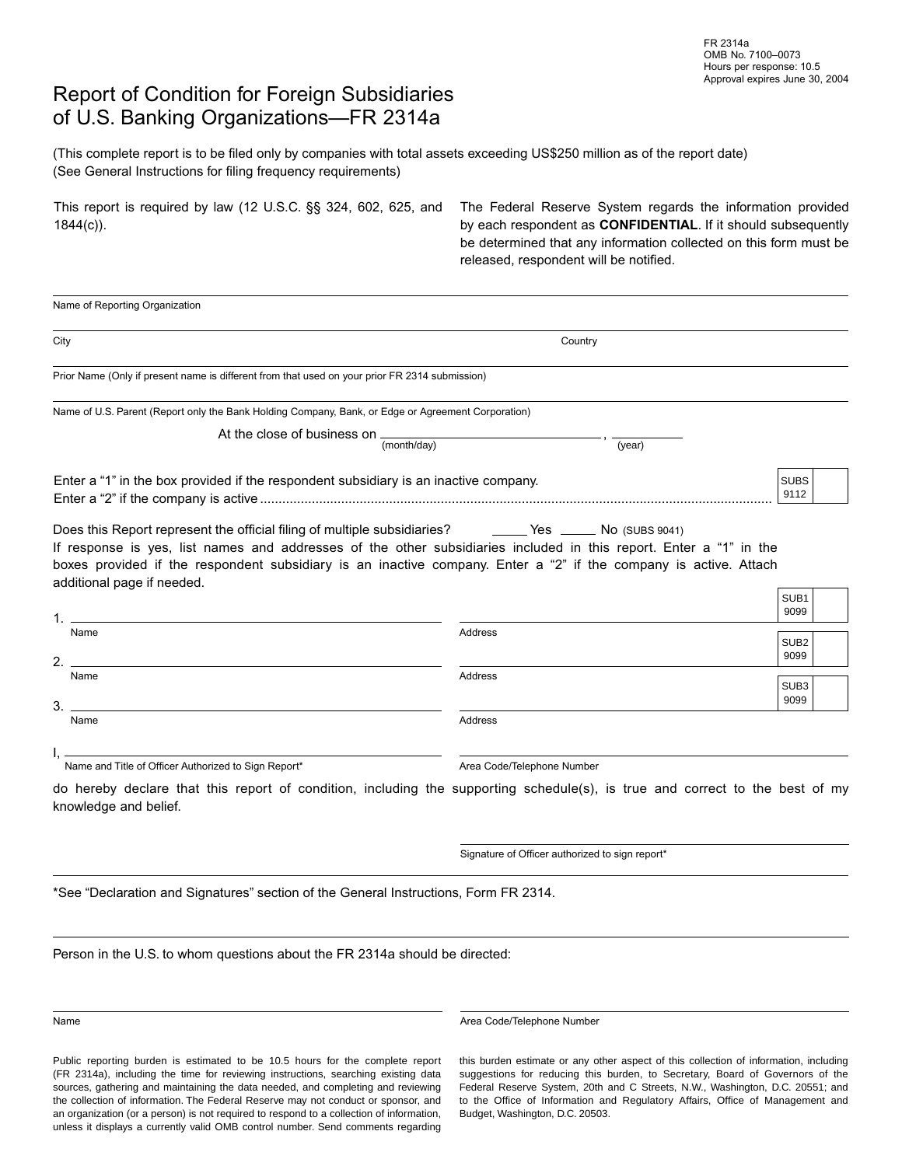## Report of Condition for Foreign Subsidiaries of U.S. Banking Organizations—FR 2314a

(This complete report is to be filed only by companies with total assets exceeding US\$250 million as of the report date) (See General Instructions for filing frequency requirements)

|           | This report is required by law (12 U.S.C. $\S$ § 324, 602, 625, and |  |  |  |  |
|-----------|---------------------------------------------------------------------|--|--|--|--|
| 1844(c)). |                                                                     |  |  |  |  |

The Federal Reserve System regards the information provided by each respondent as **CONFIDENTIAL**. If it should subsequently be determined that any information collected on this form must be released, respondent will be notified.

| City                                                                                                                                                                                                                                                                                                                                                                             | Country                                         |                          |
|----------------------------------------------------------------------------------------------------------------------------------------------------------------------------------------------------------------------------------------------------------------------------------------------------------------------------------------------------------------------------------|-------------------------------------------------|--------------------------|
| Prior Name (Only if present name is different from that used on your prior FR 2314 submission)                                                                                                                                                                                                                                                                                   |                                                 |                          |
| Name of U.S. Parent (Report only the Bank Holding Company, Bank, or Edge or Agreement Corporation)                                                                                                                                                                                                                                                                               |                                                 |                          |
| At the close of business on $\frac{1}{(month/day)}$                                                                                                                                                                                                                                                                                                                              | (year)                                          |                          |
| Enter a "1" in the box provided if the respondent subsidiary is an inactive company.                                                                                                                                                                                                                                                                                             |                                                 | <b>SUBS</b><br>9112      |
| Does this Report represent the official filing of multiple subsidiaries? ______Yes ______ No (SUBS 9041)<br>If response is yes, list names and addresses of the other subsidiaries included in this report. Enter a "1" in the<br>boxes provided if the respondent subsidiary is an inactive company. Enter a "2" if the company is active. Attach<br>additional page if needed. |                                                 |                          |
| 1. .                                                                                                                                                                                                                                                                                                                                                                             |                                                 | SUB <sub>1</sub><br>9099 |
| Name<br>$2. -$                                                                                                                                                                                                                                                                                                                                                                   | Address                                         | SUB <sub>2</sub><br>9099 |
|                                                                                                                                                                                                                                                                                                                                                                                  |                                                 |                          |
| Name                                                                                                                                                                                                                                                                                                                                                                             | Address                                         | SUB <sub>3</sub><br>9099 |
| 3.<br>Name                                                                                                                                                                                                                                                                                                                                                                       | Address                                         |                          |
| Name and Title of Officer Authorized to Sign Report*                                                                                                                                                                                                                                                                                                                             | Area Code/Telephone Number                      |                          |
| do hereby declare that this report of condition, including the supporting schedule(s), is true and correct to the best of my<br>knowledge and belief.                                                                                                                                                                                                                            |                                                 |                          |
|                                                                                                                                                                                                                                                                                                                                                                                  | Signature of Officer authorized to sign report* |                          |
| *See "Declaration and Signatures" section of the General Instructions, Form FR 2314.                                                                                                                                                                                                                                                                                             |                                                 |                          |

Public reporting burden is estimated to be 10.5 hours for the complete report (FR 2314a), including the time for reviewing instructions, searching existing data sources, gathering and maintaining the data needed, and completing and reviewing the collection of information. The Federal Reserve may not conduct or sponsor, and an organization (or a person) is not required to respond to a collection of information, unless it displays a currently valid OMB control number. Send comments regarding

Name **Area Code/Telephone Number** Area Code/Telephone Number

this burden estimate or any other aspect of this collection of information, including suggestions for reducing this burden, to Secretary, Board of Governors of the Federal Reserve System, 20th and C Streets, N.W., Washington, D.C. 20551; and to the Office of Information and Regulatory Affairs, Office of Management and Budget, Washington, D.C. 20503.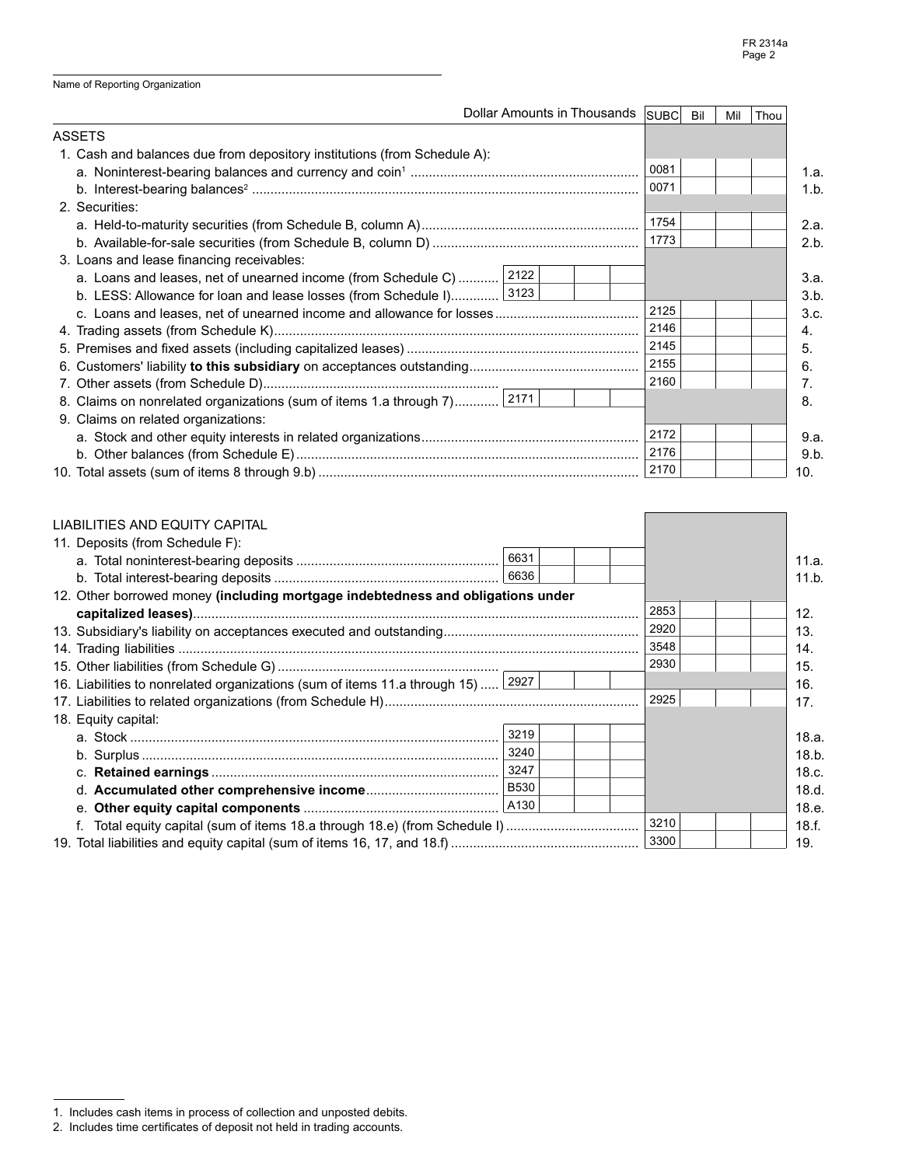|  |  |  |  | Name of Reporting Organization |
|--|--|--|--|--------------------------------|
|--|--|--|--|--------------------------------|

|                                                                          |  | Dollar Amounts in Thousands | <b>SUBC</b> | Bil | Mil | Thou |      |
|--------------------------------------------------------------------------|--|-----------------------------|-------------|-----|-----|------|------|
| <b>ASSETS</b>                                                            |  |                             |             |     |     |      |      |
| 1. Cash and balances due from depository institutions (from Schedule A): |  |                             |             |     |     |      |      |
|                                                                          |  |                             | 0081        |     |     |      | 1.a. |
|                                                                          |  |                             | 0071        |     |     |      | 1.b. |
| 2. Securities:                                                           |  |                             |             |     |     |      |      |
|                                                                          |  |                             | 1754        |     |     |      | 2.a. |
|                                                                          |  |                             | 1773        |     |     |      | 2.b. |
| 3. Loans and lease financing receivables:                                |  |                             |             |     |     |      |      |
| a. Loans and leases, net of unearned income (from Schedule C)  2122      |  |                             |             |     |     |      | 3.a. |
| b. LESS: Allowance for loan and lease losses (from Schedule I) 3123      |  |                             |             |     |     |      | 3.b. |
|                                                                          |  |                             | 2125        |     |     |      | 3.c. |
|                                                                          |  |                             | 2146        |     |     |      | 4.   |
|                                                                          |  |                             | 2145        |     |     |      | 5.   |
|                                                                          |  |                             | 2155        |     |     |      | 6.   |
|                                                                          |  |                             | 2160        |     |     |      | 7.   |
| 8. Claims on nonrelated organizations (sum of items 1.a through 7) 2171  |  |                             |             |     |     |      | 8.   |
| 9. Claims on related organizations:                                      |  |                             |             |     |     |      |      |
|                                                                          |  |                             | 2172        |     |     |      | 9.a. |
|                                                                          |  |                             | 2176        |     |     |      | 9.b. |
|                                                                          |  |                             |             |     |     |      | 10.  |

| LIABILITIES AND EQUITY CAPITAL                                                   |      |  |      |       |
|----------------------------------------------------------------------------------|------|--|------|-------|
| 11. Deposits (from Schedule F):                                                  |      |  |      |       |
|                                                                                  | 6631 |  |      | 11.a. |
|                                                                                  |      |  |      | 11.b. |
| 12. Other borrowed money (including mortgage indebtedness and obligations under  |      |  |      |       |
|                                                                                  |      |  | 2853 | 12.   |
|                                                                                  |      |  | 2920 | 13.   |
|                                                                                  |      |  | 3548 | 14.   |
|                                                                                  |      |  | 2930 | 15.   |
| 16. Liabilities to nonrelated organizations (sum of items 11.a through 15)  2927 |      |  |      | 16.   |
|                                                                                  |      |  | 2925 | 17.   |
| 18. Equity capital:                                                              |      |  |      |       |
|                                                                                  | 3219 |  |      | 18.a. |
|                                                                                  |      |  |      | 18.b. |
|                                                                                  |      |  |      | 18.c. |
|                                                                                  |      |  |      | 18.d. |
|                                                                                  |      |  |      | 18.e. |
|                                                                                  |      |  | 3210 | 18.f. |
|                                                                                  |      |  | 3300 | 19.   |

<sup>1.</sup> Includes cash items in process of collection and unposted debits.

<sup>2.</sup> Includes time certificates of deposit not held in trading accounts.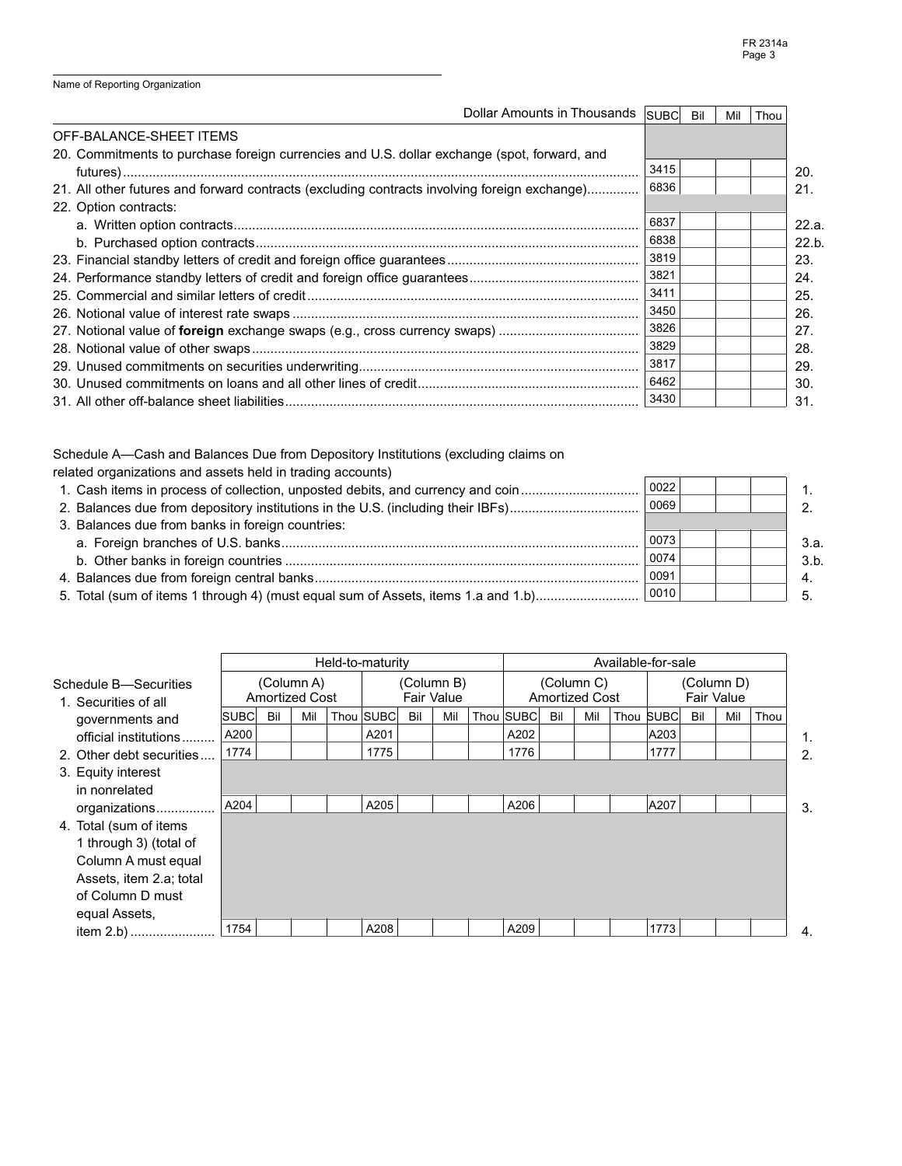1. 2.

 3.a. 3.b. 4. 5.

Name of Reporting Organization

| Dollar Amounts in Thousands SUBC                                                             |      | Bil | Mil | Thou |       |
|----------------------------------------------------------------------------------------------|------|-----|-----|------|-------|
| OFF-BALANCE-SHEET ITEMS                                                                      |      |     |     |      |       |
| 20. Commitments to purchase foreign currencies and U.S. dollar exchange (spot, forward, and  |      |     |     |      |       |
|                                                                                              | 3415 |     |     |      | 20.   |
| 21. All other futures and forward contracts (excluding contracts involving foreign exchange) | 6836 |     |     |      | 21.   |
| 22. Option contracts:                                                                        |      |     |     |      |       |
|                                                                                              | 6837 |     |     |      | 22.a. |
|                                                                                              | 6838 |     |     |      | 22.b. |
|                                                                                              | 3819 |     |     |      | 23.   |
|                                                                                              | 3821 |     |     |      | 24.   |
|                                                                                              | 3411 |     |     |      | 25.   |
|                                                                                              | 3450 |     |     |      | 26.   |
|                                                                                              | 3826 |     |     |      | 27.   |
|                                                                                              | 3829 |     |     |      | 28.   |
|                                                                                              | 3817 |     |     |      | 29.   |
|                                                                                              | 6462 |     |     |      | 30.   |
|                                                                                              | 3430 |     |     |      | 31.   |

Schedule A—Cash and Balances Due from Depository Institutions (excluding claims on related organizations and assets held in trading accounts) 1. Cash items in process of collection, unposted debits, and currency and coin................................ 2. Balances due from depository institutions in the U.S. (including their IBFs)............................... 3. Balances due from banks in foreign countries: a. Foreign branches of U.S. banks................................................................................................. b. Other banks in foreign countries ................................................................................................ 4. Balances due from foreign central banks........................................................................................ 0022 0069 I 0073 0074 0091 0010

5. Total (sum of items 1 through 4) (must equal sum of Assets, items 1.a and 1.b)............................

|                                               |      |     |                                     | Held-to-maturity |     |                          |           |     |                                     |      | Available-for-sale |     |                                 |      |    |
|-----------------------------------------------|------|-----|-------------------------------------|------------------|-----|--------------------------|-----------|-----|-------------------------------------|------|--------------------|-----|---------------------------------|------|----|
| Schedule B—Securities<br>1. Securities of all |      |     | (Column A)<br><b>Amortized Cost</b> |                  |     | (Column B)<br>Fair Value |           |     | (Column C)<br><b>Amortized Cost</b> |      |                    |     | (Column D)<br><b>Fair Value</b> |      |    |
| governments and                               | SUBC | Bil | Mil                                 | Thou SUBC        | Bil | Mil                      | Thou SUBC | Bil | Mil                                 | Thou | <b>SUBCI</b>       | Bil | Mil                             | Thou |    |
| official institutions                         | A200 |     |                                     | A201             |     |                          | A202      |     |                                     |      | A203               |     |                                 |      | 1. |
| 2. Other debt securities                      | 1774 |     |                                     | 1775             |     |                          | 1776      |     |                                     |      | 1777               |     |                                 |      | 2. |
| 3. Equity interest                            |      |     |                                     |                  |     |                          |           |     |                                     |      |                    |     |                                 |      |    |
| in nonrelated                                 |      |     |                                     |                  |     |                          |           |     |                                     |      |                    |     |                                 |      |    |
| organizations                                 | A204 |     |                                     | A205             |     |                          | A206      |     |                                     |      | A207               |     |                                 |      | 3. |
| 4. Total (sum of items                        |      |     |                                     |                  |     |                          |           |     |                                     |      |                    |     |                                 |      |    |
| 1 through 3) (total of                        |      |     |                                     |                  |     |                          |           |     |                                     |      |                    |     |                                 |      |    |
| Column A must equal                           |      |     |                                     |                  |     |                          |           |     |                                     |      |                    |     |                                 |      |    |
| Assets, item 2.a; total                       |      |     |                                     |                  |     |                          |           |     |                                     |      |                    |     |                                 |      |    |
| of Column D must                              |      |     |                                     |                  |     |                          |           |     |                                     |      |                    |     |                                 |      |    |
| equal Assets,                                 |      |     |                                     |                  |     |                          |           |     |                                     |      |                    |     |                                 |      |    |
|                                               | 1754 |     |                                     | A208             |     |                          | A209      |     |                                     |      | 1773               |     |                                 |      | 4. |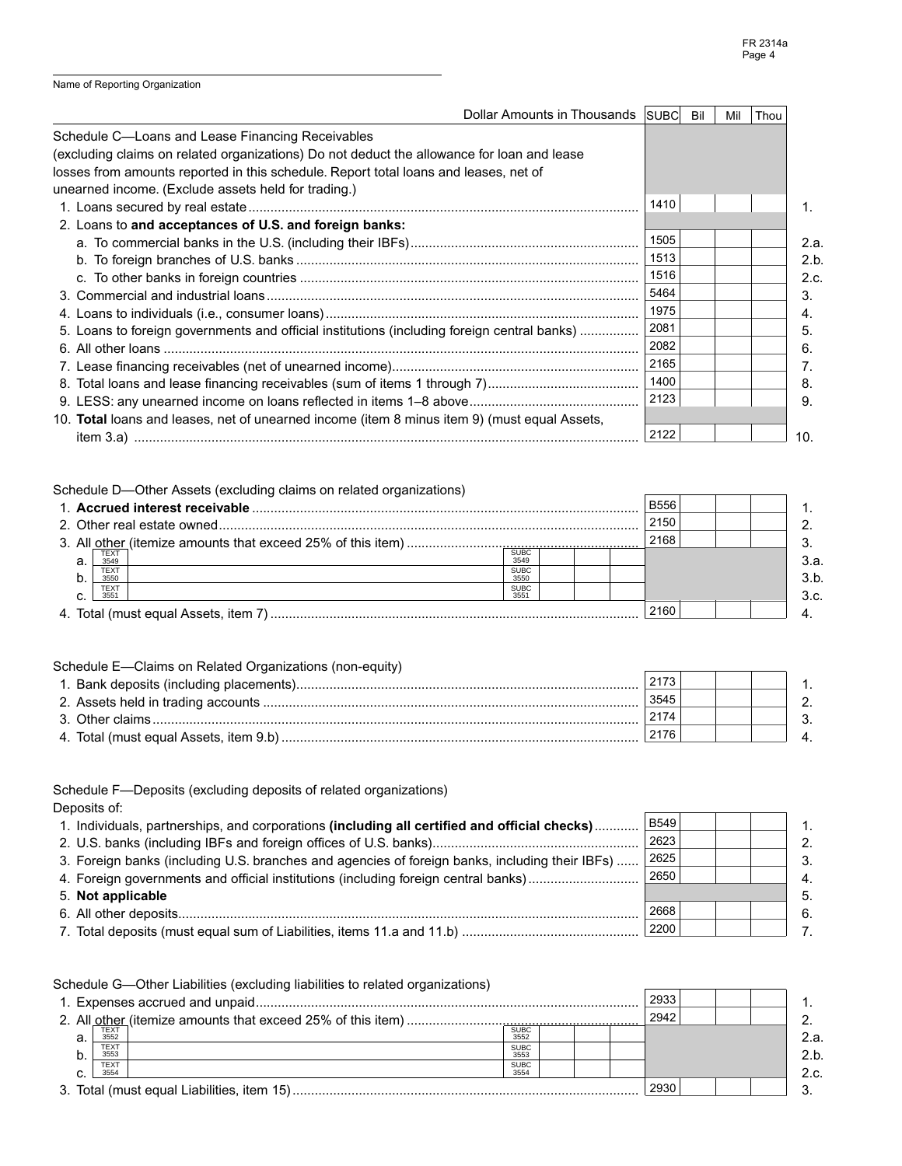1. 2. 3. 4. 5. 6. 7.

|  |  |  | Name of Reporting Organization |
|--|--|--|--------------------------------|
|--|--|--|--------------------------------|

| Dollar Amounts in Thousands SUBC                                                             |      | Bil | Mil | Thou |      |
|----------------------------------------------------------------------------------------------|------|-----|-----|------|------|
| Schedule C-Loans and Lease Financing Receivables                                             |      |     |     |      |      |
| (excluding claims on related organizations) Do not deduct the allowance for loan and lease   |      |     |     |      |      |
| losses from amounts reported in this schedule. Report total loans and leases, net of         |      |     |     |      |      |
| unearned income. (Exclude assets held for trading.)                                          |      |     |     |      |      |
|                                                                                              | 1410 |     |     |      | 1.   |
| 2. Loans to and acceptances of U.S. and foreign banks:                                       |      |     |     |      |      |
|                                                                                              | 1505 |     |     |      | 2.a. |
|                                                                                              | 1513 |     |     |      | 2.b. |
|                                                                                              | 1516 |     |     |      | 2.c. |
|                                                                                              | 5464 |     |     |      | 3.   |
|                                                                                              | 1975 |     |     |      | 4.   |
| 5. Loans to foreign governments and official institutions (including foreign central banks)  | 2081 |     |     |      | 5.   |
|                                                                                              | 2082 |     |     |      | 6.   |
|                                                                                              | 2165 |     |     |      |      |
|                                                                                              | 1400 |     |     |      | 8.   |
|                                                                                              | 2123 |     |     |      | 9.   |
| 10. Total loans and leases, net of unearned income (item 8 minus item 9) (must equal Assets, |      |     |     |      |      |
|                                                                                              | 2122 |     |     |      | 10.  |

| Schedule D-Other Assets (excluding claims on related organizations) |                     |  |             |  |  |
|---------------------------------------------------------------------|---------------------|--|-------------|--|--|
|                                                                     |                     |  | <b>B556</b> |  |  |
|                                                                     |                     |  | 2150        |  |  |
|                                                                     |                     |  | 2168        |  |  |
| TEXT<br>а.<br>3549                                                  | <b>SUBC</b><br>3549 |  |             |  |  |
| TEXT<br>b.<br>3550                                                  | <b>SUBC</b><br>3550 |  |             |  |  |
| <b>TEXT</b><br>355 <sup>1</sup><br>⌒                                | <b>SUBC</b><br>3551 |  |             |  |  |
|                                                                     |                     |  | 2160        |  |  |

| Schedule E—Claims on Related Organizations (non-equity) |      |  |               |
|---------------------------------------------------------|------|--|---------------|
|                                                         | 2173 |  |               |
|                                                         | 3545 |  | $\mathcal{P}$ |
|                                                         | 2174 |  | 3             |
|                                                         | 2176 |  | $\Delta$      |

Schedule F—Deposits (excluding deposits of related organizations) Deposits of: 1. Individuals, partnerships, and corporations (including all certified and official checks)............ 2. U.S. banks (including IBFs and foreign offi ces of U.S. banks)........................................................ 3. Foreign banks (including U.S. branches and agencies of foreign banks, including their IBFs) ...... 4. Foreign governments and official institutions (including foreign central banks)............................ 5. **Not applicable** 6. All other deposits............................................................................................................................. B549 2623 2625 2650 I 2668

 7. Total deposits (must equal sum of Liabilities, items 11.a and 11.b) ................................................ 2200

|    | Schedule G—Other Liabilities (excluding liabilities to related organizations) |                     |  |      |  |      |
|----|-------------------------------------------------------------------------------|---------------------|--|------|--|------|
|    |                                                                               |                     |  | 2933 |  |      |
|    |                                                                               |                     |  | 2942 |  |      |
| a. | TEXT<br>3552                                                                  | <b>SUBC</b><br>3552 |  |      |  | 2.a. |
| b. | <b>TEXT</b><br>3553                                                           | <b>SUBC</b><br>3553 |  |      |  | 2.b. |
| ~  | <b>TEXT</b><br>3554                                                           | <b>SUBC</b><br>3554 |  |      |  | 2.c. |
|    |                                                                               |                     |  | 2930 |  |      |
|    |                                                                               |                     |  |      |  |      |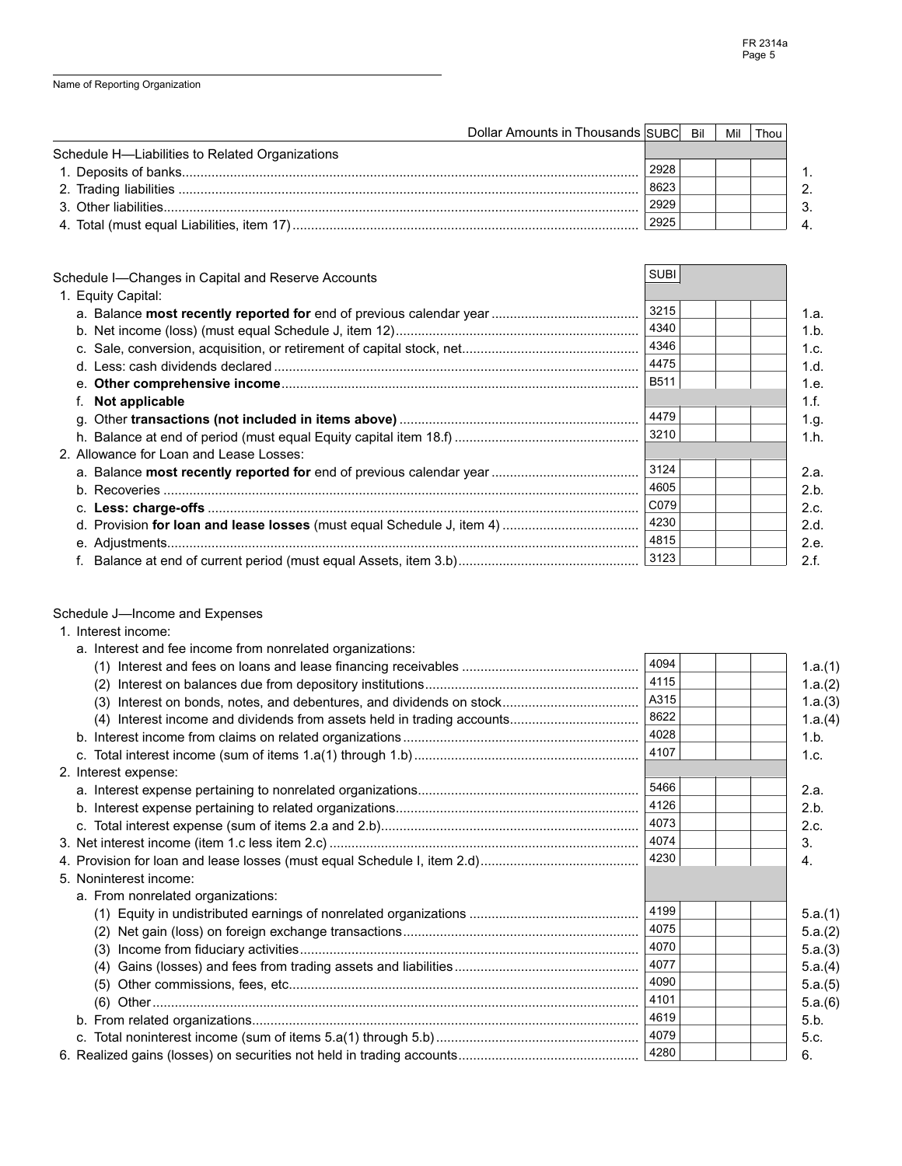| Dollar Amounts in Thousands SUBC Bil            |      | Mil | Thou |                |
|-------------------------------------------------|------|-----|------|----------------|
| Schedule H-Liabilities to Related Organizations |      |     |      |                |
|                                                 | 2928 |     |      |                |
|                                                 | 8623 |     |      | 2 <sub>1</sub> |
|                                                 | 2929 |     |      | 3 <sub>1</sub> |
|                                                 | 2925 |     |      |                |

| Schedule I—Changes in Capital and Reserve Accounts | <b>SUBI</b> |      |
|----------------------------------------------------|-------------|------|
| 1. Equity Capital:                                 |             |      |
|                                                    | 3215        | 1.a. |
|                                                    | 4340        | 1.b. |
|                                                    | 4346        | 1.c. |
|                                                    | 4475        | 1.d. |
|                                                    | <b>B511</b> | 1.e. |
| f. Not applicable                                  |             | 1.f. |
|                                                    | 4479        | 1.g. |
|                                                    | 3210        | 1.h. |
| 2. Allowance for Loan and Lease Losses:            |             |      |
|                                                    | 3124        | 2.a. |
|                                                    | 4605        | 2.b. |
|                                                    | C079        | 2.c. |
|                                                    | 4230        | 2.d. |
|                                                    | 4815        | 2.e. |
|                                                    | 3123        | 2.f. |

Schedule J—Income and Expenses

| 1. Interest income:                                       |      |         |
|-----------------------------------------------------------|------|---------|
| a. Interest and fee income from nonrelated organizations: |      |         |
|                                                           | 4094 | 1.a.(1) |
| (2)                                                       | 4115 | 1.a.(2) |
| (3)                                                       | A315 | 1.a.(3) |
| (4)                                                       | 8622 | 1.a.(4) |
|                                                           | 4028 | 1.b.    |
|                                                           | 4107 | 1.c.    |
| 2. Interest expense:                                      |      |         |
|                                                           | 5466 | 2.a.    |
|                                                           | 4126 | 2.b.    |
|                                                           | 4073 | 2.c.    |
|                                                           | 4074 | 3.      |
|                                                           | 4230 | 4.      |
| 5. Noninterest income:                                    |      |         |
| a. From nonrelated organizations:                         |      |         |
|                                                           | 4199 | 5.a.(1) |
|                                                           | 4075 | 5.a.(2) |
| (3)                                                       | 4070 | 5.a.(3) |
| (4)                                                       | 4077 | 5.a.(4) |
| (5)                                                       | 4090 | 5.a.(5) |
| (6)                                                       | 4101 | 5.a.(6) |
|                                                           | 4619 | 5.b.    |
|                                                           | 4079 | 5.c.    |
|                                                           | 4280 | 6.      |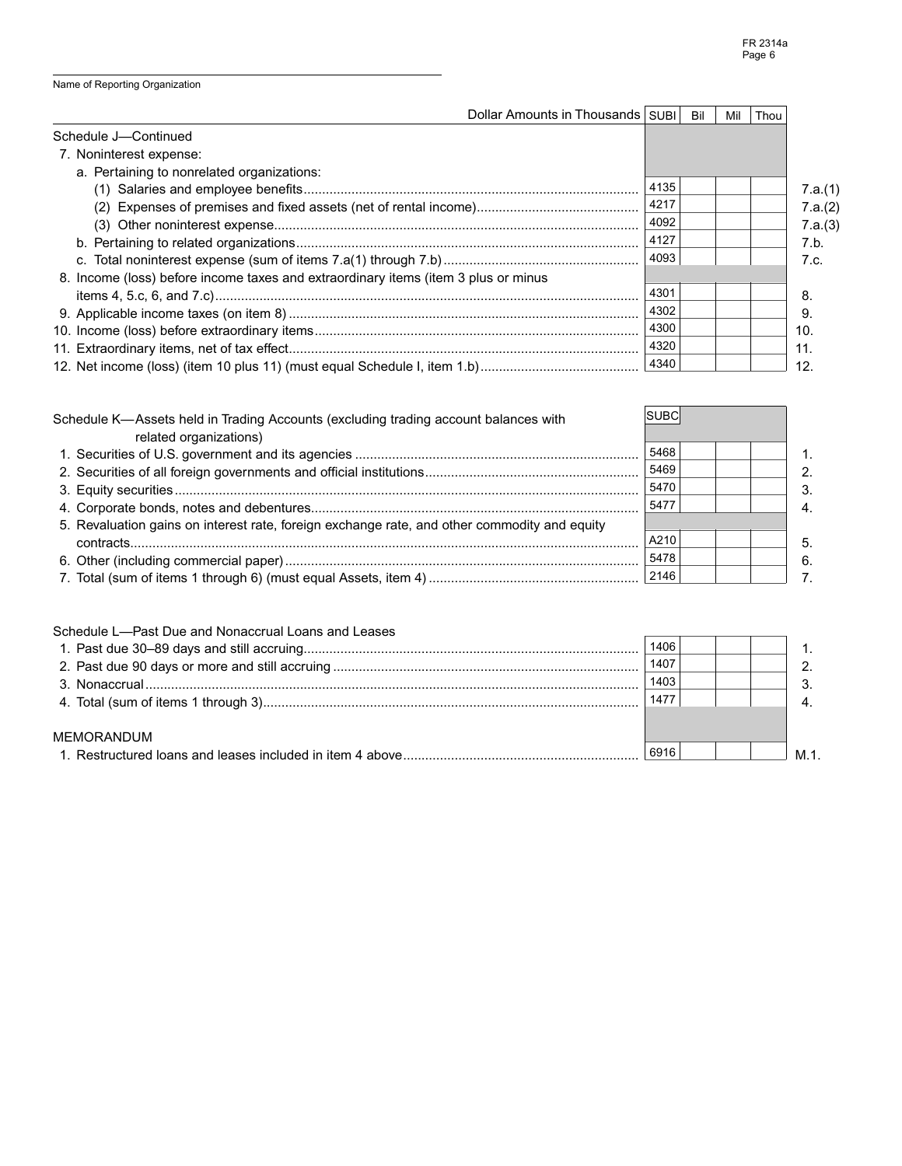| Dollar Amounts in Thousands   SUBI                                                 |      | Bil | Mil | Thou |         |
|------------------------------------------------------------------------------------|------|-----|-----|------|---------|
| Schedule J-Continued                                                               |      |     |     |      |         |
| 7. Noninterest expense:                                                            |      |     |     |      |         |
| a. Pertaining to nonrelated organizations:                                         |      |     |     |      |         |
|                                                                                    | 4135 |     |     |      | 7.a.(1) |
|                                                                                    | 4217 |     |     |      | 7.a.(2) |
|                                                                                    | 4092 |     |     |      | 7.a.(3) |
|                                                                                    | 4127 |     |     |      | 7.b.    |
|                                                                                    | 4093 |     |     |      | 7.c.    |
| 8. Income (loss) before income taxes and extraordinary items (item 3 plus or minus |      |     |     |      |         |
|                                                                                    | 4301 |     |     |      | 8.      |
|                                                                                    | 4302 |     |     |      | 9       |
|                                                                                    | 4300 |     |     |      | 10.     |
|                                                                                    | 4320 |     |     |      | 11.     |
|                                                                                    | 4340 |     |     |      | 12.     |

| Schedule K-Assets held in Trading Accounts (excluding trading account balances with<br>related organizations) | ISUBC |  |    |
|---------------------------------------------------------------------------------------------------------------|-------|--|----|
|                                                                                                               | 5468  |  |    |
|                                                                                                               | 5469  |  | 2. |
|                                                                                                               | 5470  |  |    |
|                                                                                                               | 5477  |  | 4. |
| 5. Revaluation gains on interest rate, foreign exchange rate, and other commodity and equity                  |       |  |    |
|                                                                                                               | A210  |  | 5. |
|                                                                                                               | 5478  |  | 6. |
|                                                                                                               |       |  |    |

| Schedule L-Past Due and Nonaccrual Loans and Leases |      |  |     |
|-----------------------------------------------------|------|--|-----|
|                                                     | 1406 |  |     |
|                                                     | 1407 |  |     |
|                                                     | 1403 |  |     |
|                                                     | 1477 |  |     |
|                                                     |      |  |     |
| <b>MEMORANDUM</b>                                   |      |  |     |
|                                                     | 6916 |  | M 1 |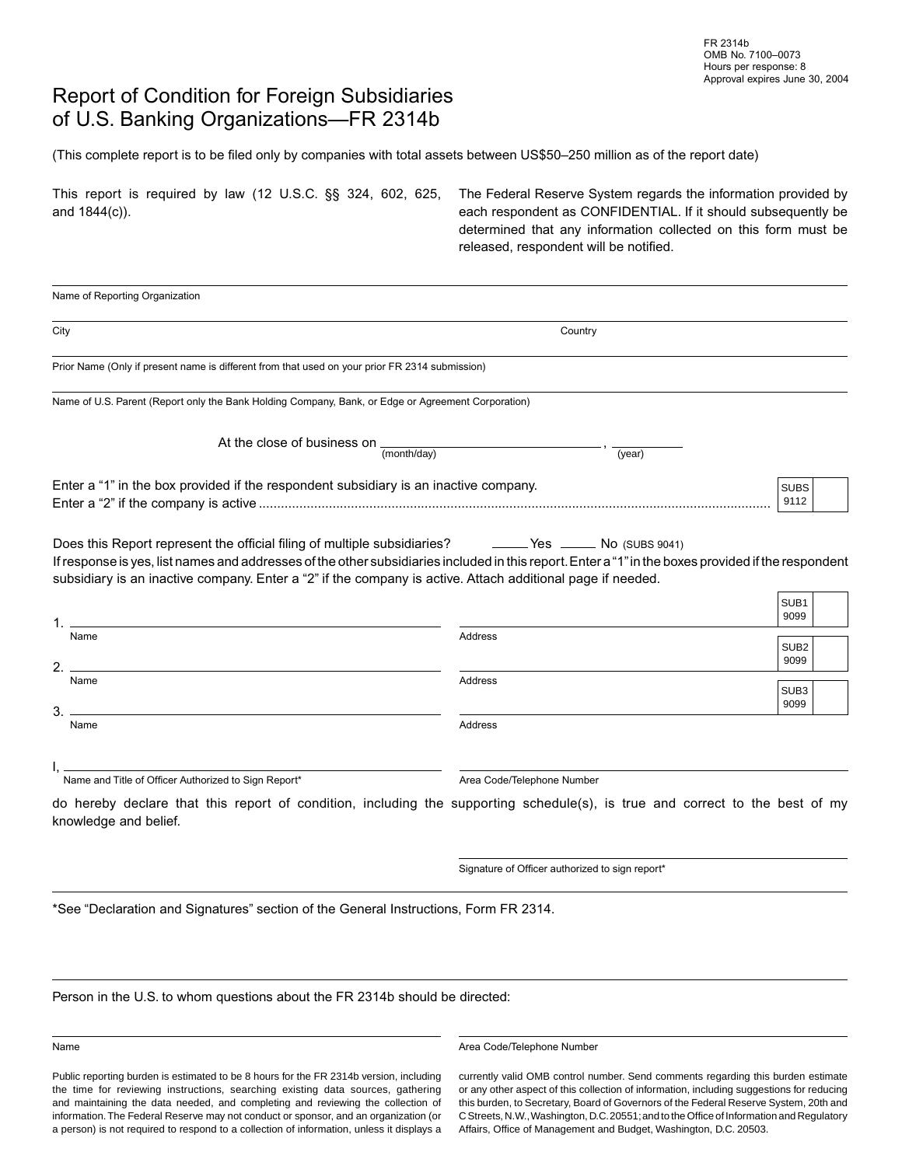## Report of Condition for Foreign Subsidiaries of U.S. Banking Organizations—FR 2314b

(This complete report is to be filed only by companies with total assets between US\$50-250 million as of the report date)

| This report is required by law (12 U.S.C. §§ 324, 602, 625, | The Federal Reserve System regards the information provided by |
|-------------------------------------------------------------|----------------------------------------------------------------|
| and $1844(c)$ ).                                            | each respondent as CONFIDENTIAL. If it should subsequently be  |
|                                                             | determined that any information collected on this form must be |
|                                                             | released, respondent will be notified.                         |

| Country                                                                                                                                                                                                                                                                                                                                                                  |                          |
|--------------------------------------------------------------------------------------------------------------------------------------------------------------------------------------------------------------------------------------------------------------------------------------------------------------------------------------------------------------------------|--------------------------|
| Prior Name (Only if present name is different from that used on your prior FR 2314 submission)                                                                                                                                                                                                                                                                           |                          |
| Name of U.S. Parent (Report only the Bank Holding Company, Bank, or Edge or Agreement Corporation)                                                                                                                                                                                                                                                                       |                          |
| At the close of business on $\frac{1}{(month/day)}$<br>(year)                                                                                                                                                                                                                                                                                                            |                          |
| Enter a "1" in the box provided if the respondent subsidiary is an inactive company.                                                                                                                                                                                                                                                                                     | <b>SUBS</b><br>9112      |
| Does this Report represent the official filing of multiple subsidiaries? The Messeng Mo (SUBS 9041)<br>If response is yes, list names and addresses of the other subsidiaries included in this report. Enter a "1" in the boxes provided if the respondent<br>subsidiary is an inactive company. Enter a "2" if the company is active. Attach additional page if needed. | SUB1<br>9099             |
| Address                                                                                                                                                                                                                                                                                                                                                                  | SUB <sub>2</sub><br>9099 |
| Address                                                                                                                                                                                                                                                                                                                                                                  | SUB <sub>3</sub><br>9099 |
| Address                                                                                                                                                                                                                                                                                                                                                                  |                          |
| Area Code/Telephone Number<br>do hereby declare that this report of condition, including the supporting schedule(s), is true and correct to the best of my                                                                                                                                                                                                               |                          |
|                                                                                                                                                                                                                                                                                                                                                                          |                          |
|                                                                                                                                                                                                                                                                                                                                                                          |                          |

Person in the U.S. to whom questions about the FR 2314b should be directed:

Public reporting burden is estimated to be 8 hours for the FR 2314b version, including the time for reviewing instructions, searching existing data sources, gathering and maintaining the data needed, and completing and reviewing the collection of information. The Federal Reserve may not conduct or sponsor, and an organization (or a person) is not required to respond to a collection of information, unless it displays a

Name **Area Code/Telephone Number** Area Code/Telephone Number

currently valid OMB control number. Send comments regarding this burden estimate or any other aspect of this collection of information, including suggestions for reducing this burden, to Secretary, Board of Governors of the Federal Reserve System, 20th and C Streets, N.W., Washington, D.C. 20551; and to the Office of Information and Regulatory Affairs, Office of Management and Budget, Washington, D.C. 20503.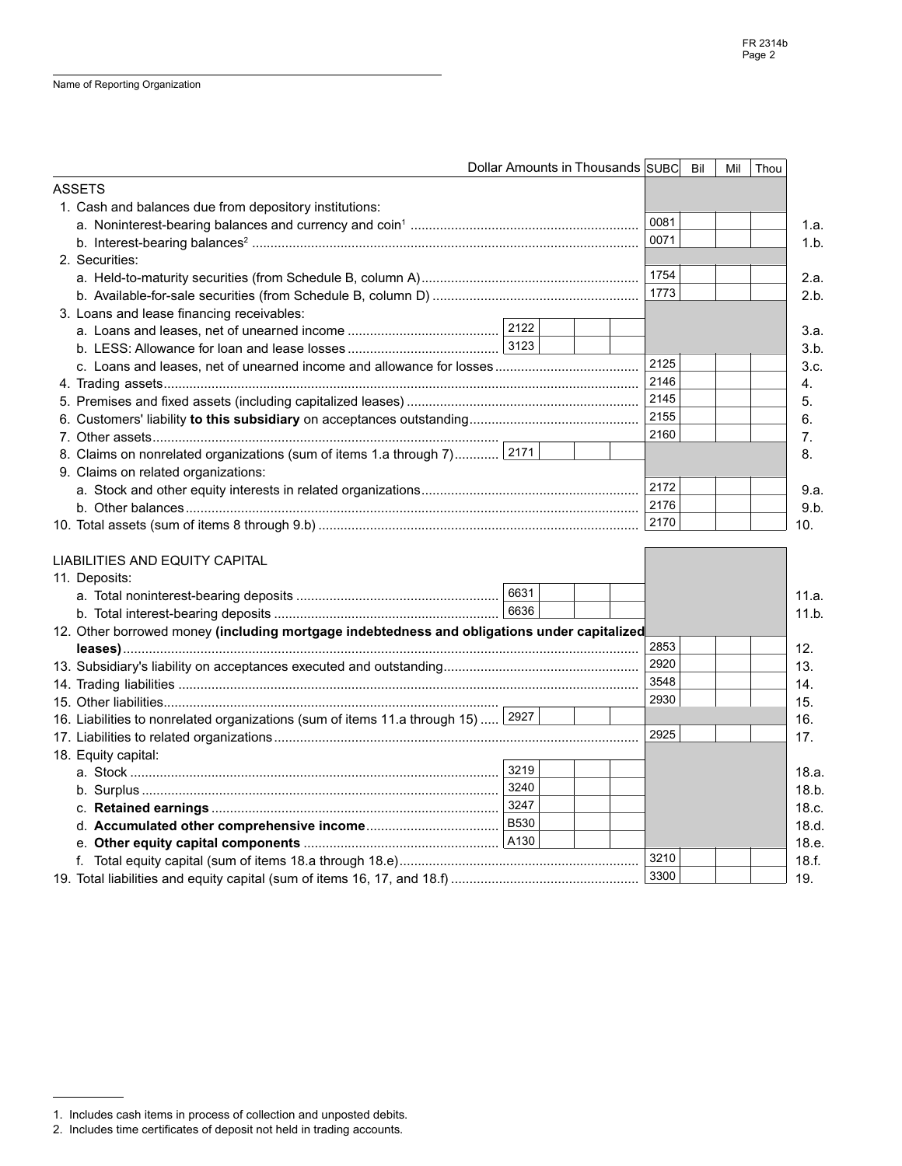|                                                                                             | Dollar Amounts in Thousands SUBC<br>Bil | Mil<br>Thou |
|---------------------------------------------------------------------------------------------|-----------------------------------------|-------------|
| <b>ASSETS</b>                                                                               |                                         |             |
| 1. Cash and balances due from depository institutions:                                      |                                         |             |
|                                                                                             | 0081                                    |             |
|                                                                                             | 0071                                    |             |
| 2. Securities:                                                                              |                                         |             |
|                                                                                             | 1754                                    |             |
|                                                                                             | 1773                                    |             |
| 3. Loans and lease financing receivables:                                                   |                                         |             |
|                                                                                             |                                         |             |
|                                                                                             |                                         |             |
|                                                                                             | 2125                                    |             |
|                                                                                             | 2146                                    |             |
|                                                                                             | 2145                                    |             |
|                                                                                             | 2155                                    |             |
|                                                                                             | 2160                                    |             |
| 8. Claims on nonrelated organizations (sum of items 1.a through 7) 2171                     |                                         |             |
| 9. Claims on related organizations:                                                         |                                         |             |
|                                                                                             | 2172                                    |             |
|                                                                                             | 2176                                    |             |
|                                                                                             | 2170                                    |             |
|                                                                                             |                                         |             |
| <b>LIABILITIES AND EQUITY CAPITAL</b>                                                       |                                         |             |
| 11. Deposits:                                                                               |                                         |             |
|                                                                                             | 6631                                    |             |
|                                                                                             | 6636                                    |             |
| 12. Other borrowed money (including mortgage indebtedness and obligations under capitalized |                                         |             |
|                                                                                             | 2853                                    |             |
|                                                                                             | 2920                                    |             |
|                                                                                             | 3548                                    |             |
|                                                                                             | 2930                                    |             |
| 16. Liabilities to nonrelated organizations (sum of items 11.a through 15)  2927            |                                         |             |
|                                                                                             | 2925                                    |             |
| 18. Equity capital:                                                                         |                                         |             |
|                                                                                             | 3219                                    |             |
|                                                                                             | 3240                                    |             |
|                                                                                             |                                         |             |
|                                                                                             |                                         |             |
|                                                                                             |                                         |             |
|                                                                                             | 3210                                    |             |
|                                                                                             | 3300                                    |             |

<sup>1.</sup> Includes cash items in process of collection and unposted debits.

<sup>2.</sup> Includes time certificates of deposit not held in trading accounts.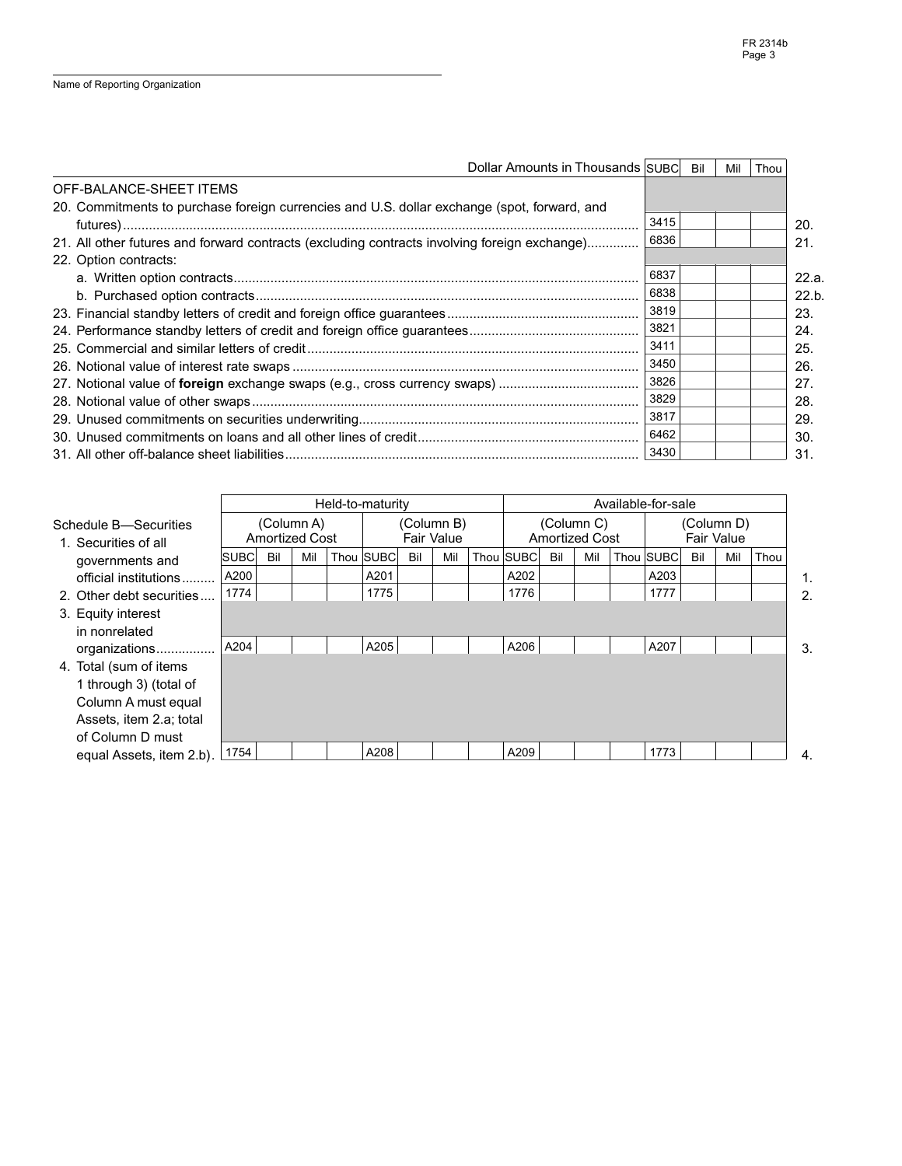| Dollar Amounts in Thousands SUBC                                                             |      | Bil | Mil | Thou |       |
|----------------------------------------------------------------------------------------------|------|-----|-----|------|-------|
| OFF-BALANCE-SHEET ITEMS                                                                      |      |     |     |      |       |
| 20. Commitments to purchase foreign currencies and U.S. dollar exchange (spot, forward, and  |      |     |     |      |       |
|                                                                                              | 3415 |     |     |      | 20.   |
| 21. All other futures and forward contracts (excluding contracts involving foreign exchange) | 6836 |     |     |      | 21.   |
| 22. Option contracts:                                                                        |      |     |     |      |       |
|                                                                                              | 6837 |     |     |      | 22.a. |
|                                                                                              | 6838 |     |     |      | 22.b. |
|                                                                                              | 3819 |     |     |      | 23.   |
|                                                                                              | 3821 |     |     |      | 24.   |
|                                                                                              | 3411 |     |     |      | 25.   |
|                                                                                              | 3450 |     |     |      | 26.   |
|                                                                                              | 3826 |     |     |      | 27.   |
|                                                                                              | 3829 |     |     |      | 28.   |
|                                                                                              | 3817 |     |     |      | 29.   |
|                                                                                              | 6462 |     |     |      | 30.   |
|                                                                                              | 3430 |     |     |      | 31.   |

|                                               |             | Held-to-maturity                    |     |  |                                 |     |     | Available-for-sale                  |           |     |     |                          |           |     |     |      |    |
|-----------------------------------------------|-------------|-------------------------------------|-----|--|---------------------------------|-----|-----|-------------------------------------|-----------|-----|-----|--------------------------|-----------|-----|-----|------|----|
| Schedule B-Securities<br>1. Securities of all |             | (Column A)<br><b>Amortized Cost</b> |     |  | (Column B)<br><b>Fair Value</b> |     |     | (Column C)<br><b>Amortized Cost</b> |           |     |     | (Column D)<br>Fair Value |           |     |     |      |    |
| governments and                               | <b>SUBC</b> | Bil                                 | Mil |  | Thou SUBC                       | Bil | Mil |                                     | Thou SUBC | Bil | Mil |                          | Thou SUBC | Bil | Mil | Thou |    |
| official institutions                         | A200        |                                     |     |  | A201                            |     |     |                                     | A202      |     |     |                          | A203      |     |     |      | 1. |
| 2. Other debt securities                      | 1774        |                                     |     |  | 1775                            |     |     |                                     | 1776      |     |     |                          | 1777      |     |     |      | 2. |
| 3. Equity interest                            |             |                                     |     |  |                                 |     |     |                                     |           |     |     |                          |           |     |     |      |    |
| in nonrelated                                 |             |                                     |     |  |                                 |     |     |                                     |           |     |     |                          |           |     |     |      |    |
| organizations                                 | A204        |                                     |     |  | A205                            |     |     |                                     | A206      |     |     |                          | A207      |     |     |      | 3. |
| 4. Total (sum of items                        |             |                                     |     |  |                                 |     |     |                                     |           |     |     |                          |           |     |     |      |    |
| 1 through 3) (total of                        |             |                                     |     |  |                                 |     |     |                                     |           |     |     |                          |           |     |     |      |    |
| Column A must equal                           |             |                                     |     |  |                                 |     |     |                                     |           |     |     |                          |           |     |     |      |    |
| Assets, item 2.a; total                       |             |                                     |     |  |                                 |     |     |                                     |           |     |     |                          |           |     |     |      |    |
| of Column D must                              |             |                                     |     |  |                                 |     |     |                                     |           |     |     |                          |           |     |     |      |    |
| equal Assets, item 2.b).                      | 1754        |                                     |     |  | A208                            |     |     |                                     | A209      |     |     |                          | 1773      |     |     |      | 4. |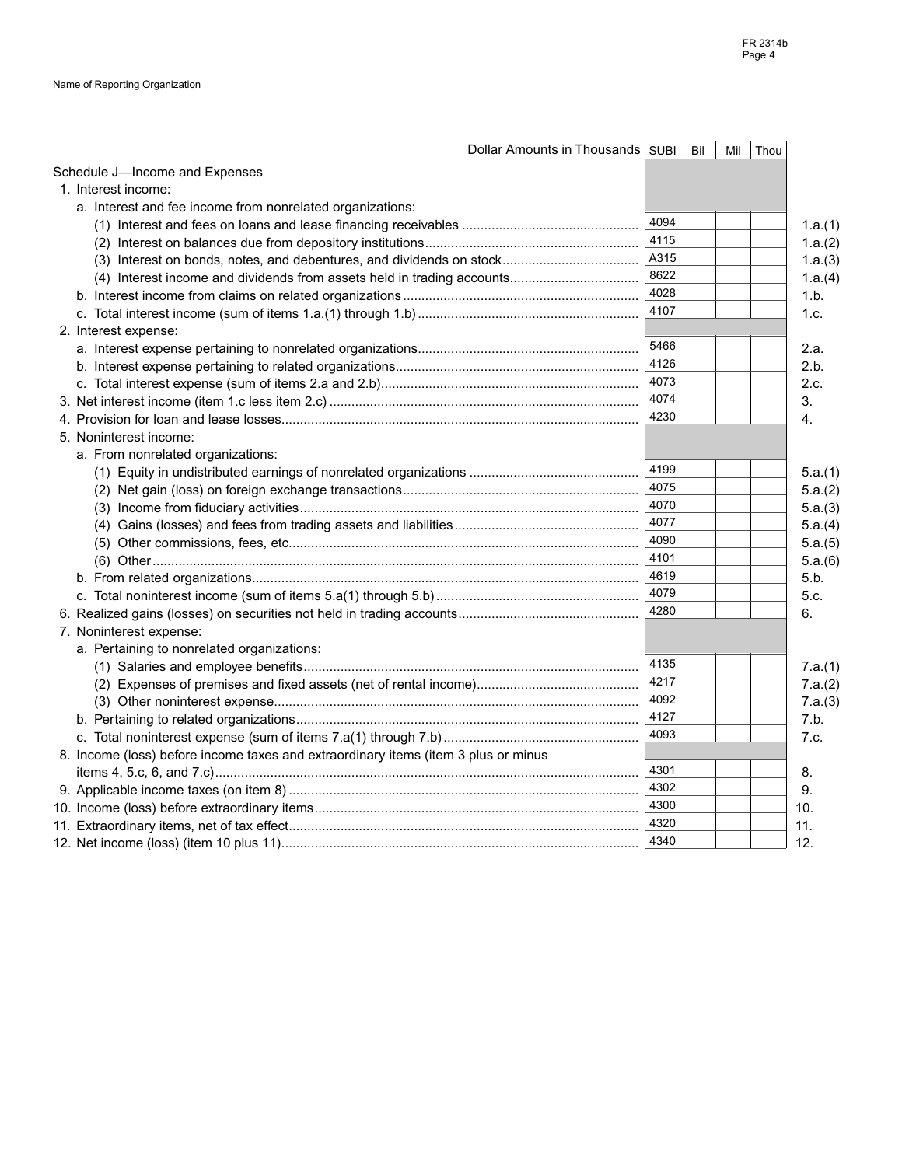| Dollar Amounts in Thousands SUBI                                                   |      | Bil | Mil | Thou |         |
|------------------------------------------------------------------------------------|------|-----|-----|------|---------|
| Schedule J-Income and Expenses                                                     |      |     |     |      |         |
| 1. Interest income:                                                                |      |     |     |      |         |
| a. Interest and fee income from nonrelated organizations:                          |      |     |     |      |         |
|                                                                                    | 4094 |     |     |      | 1.a.(1) |
|                                                                                    | 4115 |     |     |      | 1.a.(2) |
|                                                                                    | A315 |     |     |      | 1.a.(3) |
|                                                                                    | 8622 |     |     |      | 1.a.(4) |
|                                                                                    | 4028 |     |     |      | 1.b.    |
|                                                                                    | 4107 |     |     |      | 1.c.    |
| 2. Interest expense:                                                               |      |     |     |      |         |
|                                                                                    | 5466 |     |     |      | 2.a.    |
|                                                                                    | 4126 |     |     |      | 2.b.    |
|                                                                                    | 4073 |     |     |      | 2.c.    |
|                                                                                    | 4074 |     |     |      | 3.      |
|                                                                                    | 4230 |     |     |      | 4.      |
| 5. Noninterest income:                                                             |      |     |     |      |         |
| a. From nonrelated organizations:                                                  |      |     |     |      |         |
|                                                                                    | 4199 |     |     |      | 5.a.(1) |
|                                                                                    | 4075 |     |     |      | 5.a.(2) |
|                                                                                    | 4070 |     |     |      | 5.a.(3) |
|                                                                                    | 4077 |     |     |      | 5.a.(4) |
|                                                                                    | 4090 |     |     |      | 5.a.(5) |
|                                                                                    | 4101 |     |     |      | 5.a.(6) |
|                                                                                    | 4619 |     |     |      | 5.b.    |
|                                                                                    | 4079 |     |     |      | 5.c.    |
|                                                                                    | 4280 |     |     |      | 6.      |
| 7. Noninterest expense:                                                            |      |     |     |      |         |
| a. Pertaining to nonrelated organizations:                                         |      |     |     |      |         |
|                                                                                    | 4135 |     |     |      | 7.a.(1) |
|                                                                                    | 4217 |     |     |      | 7.a.(2) |
|                                                                                    | 4092 |     |     |      | 7.a.(3) |
|                                                                                    | 4127 |     |     |      | 7.b.    |
|                                                                                    | 4093 |     |     |      | 7.c.    |
| 8. Income (loss) before income taxes and extraordinary items (item 3 plus or minus |      |     |     |      |         |
|                                                                                    | 4301 |     |     |      | 8.      |
|                                                                                    | 4302 |     |     |      | 9.      |
|                                                                                    | 4300 |     |     |      | 10.     |
|                                                                                    | 4320 |     |     |      | 11.     |
|                                                                                    |      |     |     |      | 12.     |